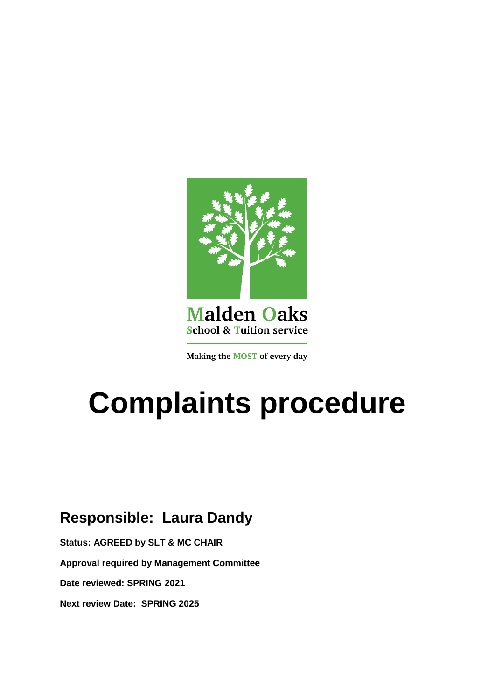

## **Malden Oaks School & Tuition service**

Making the MOST of every day

# **Complaints procedure**

# **Responsible: Laura Dandy**

**Status: AGREED by SLT & MC CHAIR**

**Approval required by Management Committee**

**Date reviewed: SPRING 2021** 

**Next review Date: SPRING 2025**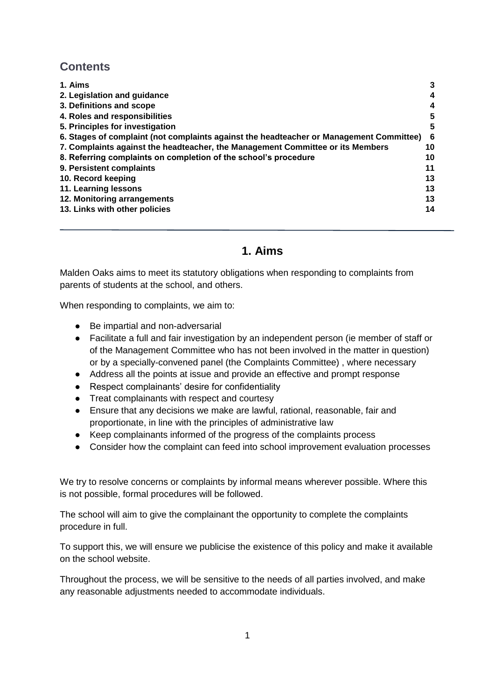## **Contents**

| 1. Aims                                                                                 |    |
|-----------------------------------------------------------------------------------------|----|
| 2. Legislation and guidance                                                             | 4  |
| 3. Definitions and scope                                                                | 4  |
| 4. Roles and responsibilities                                                           | 5  |
| 5. Principles for investigation                                                         | 5  |
| 6. Stages of complaint (not complaints against the headteacher or Management Committee) | 6  |
| 7. Complaints against the headteacher, the Management Committee or its Members          | 10 |
| 8. Referring complaints on completion of the school's procedure                         | 10 |
| 9. Persistent complaints                                                                | 11 |
| 10. Record keeping                                                                      | 13 |
| 11. Learning lessons                                                                    | 13 |
| 12. Monitoring arrangements                                                             | 13 |
| 13. Links with other policies                                                           | 14 |

## **1. Aims**

<span id="page-1-0"></span>Malden Oaks aims to meet its statutory obligations when responding to complaints from parents of students at the school, and others.

When responding to complaints, we aim to:

- Be impartial and non-adversarial
- Facilitate a full and fair investigation by an independent person (ie member of staff or of the Management Committee who has not been involved in the matter in question) or by a specially-convened panel (the Complaints Committee) , where necessary
- Address all the points at issue and provide an effective and prompt response
- Respect complainants' desire for confidentiality
- Treat complainants with respect and courtesy
- Ensure that any decisions we make are lawful, rational, reasonable, fair and proportionate, in line with the principles of administrative law
- Keep complainants informed of the progress of the complaints process
- Consider how the complaint can feed into school improvement evaluation processes

We try to resolve concerns or complaints by informal means wherever possible. Where this is not possible, formal procedures will be followed.

The school will aim to give the complainant the opportunity to complete the complaints procedure in full.

To support this, we will ensure we publicise the existence of this policy and make it available on the school website.

<span id="page-1-1"></span>Throughout the process, we will be sensitive to the needs of all parties involved, and make any reasonable adjustments needed to accommodate individuals.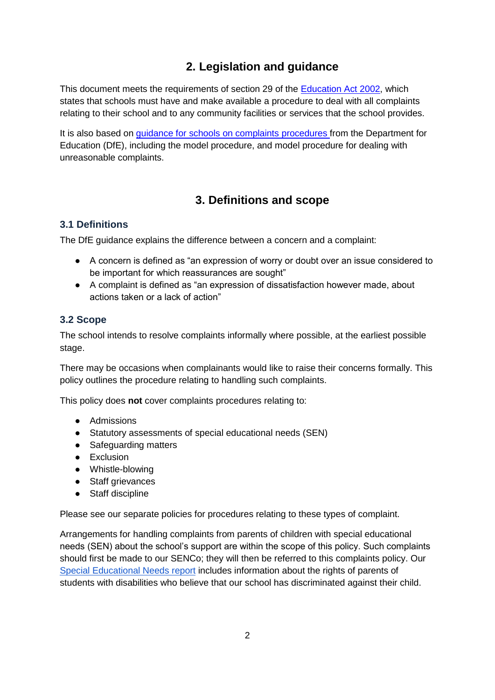## **2. Legislation and guidance**

This document meets the requirements of section 29 of the [Education Act 2002,](http://www.legislation.gov.uk/ukpga/2002/32/section/29) which states that schools must have and make available a procedure to deal with all complaints relating to their school and to any community facilities or services that the school provides.

It is also based on *guidance for schools on complaints procedures from the Department for* Education (DfE), including the model procedure, and model procedure for dealing with unreasonable complaints.

## **3. Definitions and scope**

#### <span id="page-2-0"></span>**3.1 Definitions**

The DfE guidance explains the difference between a concern and a complaint:

- A concern is defined as "an expression of worry or doubt over an issue considered to be important for which reassurances are sought"
- A complaint is defined as "an expression of dissatisfaction however made, about actions taken or a lack of action"

#### **3.2 Scope**

The school intends to resolve complaints informally where possible, at the earliest possible stage.

There may be occasions when complainants would like to raise their concerns formally. This policy outlines the procedure relating to handling such complaints.

This policy does **not** cover complaints procedures relating to:

- Admissions
- Statutory assessments of special educational needs (SEN)
- Safeguarding matters
- Exclusion
- Whistle-blowing
- Staff grievances
- Staff discipline

Please see our separate policies for procedures relating to these types of complaint.

Arrangements for handling complaints from parents of children with special educational needs (SEN) about the school's support are within the scope of this policy. Such complaints should first be made to our SENCo; they will then be referred to this complaints policy. Our [Special Educational Needs report](https://docs.google.com/document/d/194yK5LXmwOSMiITqG9QHcZ2gltJjkY7J?rtpof=true&authuser=stmatt%40maldenoaks.rbksch.org&usp=drive_fs) includes information about the rights of parents of students with disabilities who believe that our school has discriminated against their child.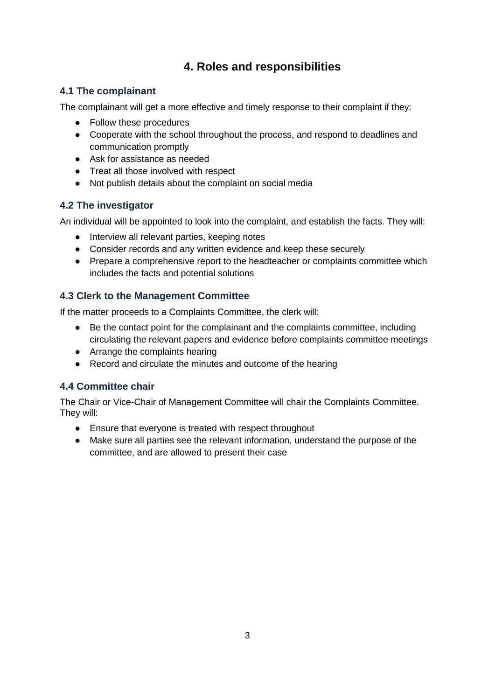## **4. Roles and responsibilities**

#### <span id="page-3-0"></span>**4.1 The complainant**

The complainant will get a more effective and timely response to their complaint if they:

- Follow these procedures
- Cooperate with the school throughout the process, and respond to deadlines and communication promptly
- Ask for assistance as needed
- Treat all those involved with respect
- Not publish details about the complaint on social media

#### **4.2 The investigator**

An individual will be appointed to look into the complaint, and establish the facts. They will:

- Interview all relevant parties, keeping notes
- Consider records and any written evidence and keep these securely
- Prepare a comprehensive report to the headteacher or complaints committee which includes the facts and potential solutions

#### **4.3 Clerk to the Management Committee**

If the matter proceeds to a Complaints Committee, the clerk will:

- Be the contact point for the complainant and the complaints committee, including circulating the relevant papers and evidence before complaints committee meetings
- Arrange the complaints hearing
- Record and circulate the minutes and outcome of the hearing

#### **4.4 Committee chair**

The Chair or Vice-Chair of Management Committee will chair the Complaints Committee. They will:

- Ensure that everyone is treated with respect throughout
- <span id="page-3-1"></span>● Make sure all parties see the relevant information, understand the purpose of the committee, and are allowed to present their case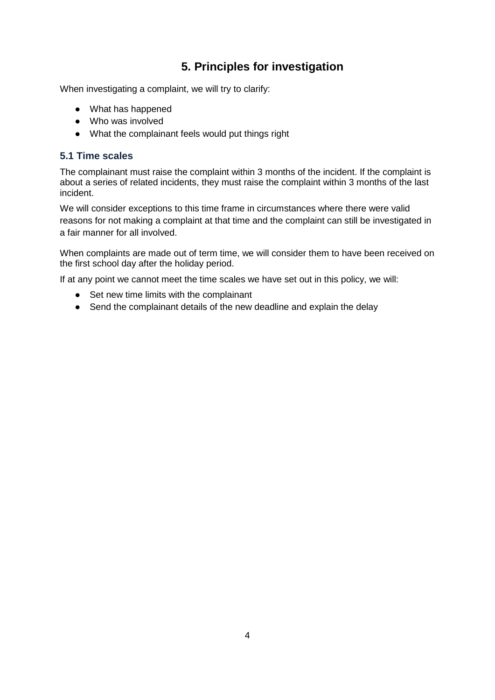## **5. Principles for investigation**

When investigating a complaint, we will try to clarify:

- What has happened
- Who was involved
- What the complainant feels would put things right

#### **5.1 Time scales**

The complainant must raise the complaint within 3 months of the incident. If the complaint is about a series of related incidents, they must raise the complaint within 3 months of the last incident.

We will consider exceptions to this time frame in circumstances where there were valid reasons for not making a complaint at that time and the complaint can still be investigated in a fair manner for all involved.

When complaints are made out of term time, we will consider them to have been received on the first school day after the holiday period.

If at any point we cannot meet the time scales we have set out in this policy, we will:

- Set new time limits with the complainant
- <span id="page-4-0"></span>● Send the complainant details of the new deadline and explain the delay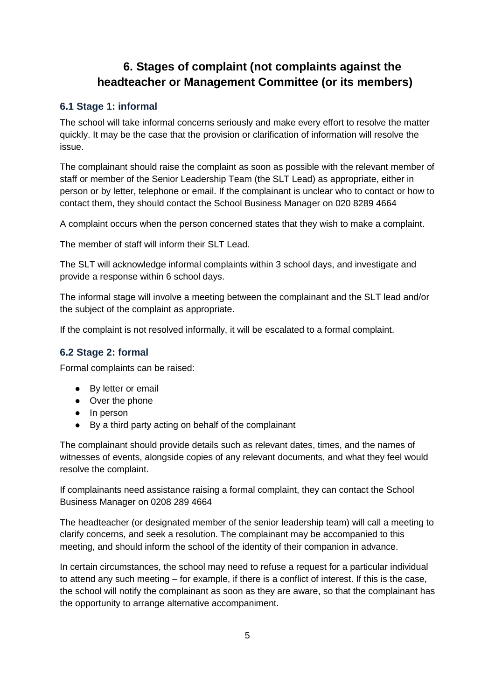## **6. Stages of complaint (not complaints against the headteacher or Management Committee (or its members)**

#### **6.1 Stage 1: informal**

The school will take informal concerns seriously and make every effort to resolve the matter quickly. It may be the case that the provision or clarification of information will resolve the issue.

The complainant should raise the complaint as soon as possible with the relevant member of staff or member of the Senior Leadership Team (the SLT Lead) as appropriate, either in person or by letter, telephone or email. If the complainant is unclear who to contact or how to contact them, they should contact the School Business Manager on 020 8289 4664

A complaint occurs when the person concerned states that they wish to make a complaint.

The member of staff will inform their SLT Lead.

The SLT will acknowledge informal complaints within 3 school days, and investigate and provide a response within 6 school days.

The informal stage will involve a meeting between the complainant and the SLT lead and/or the subject of the complaint as appropriate.

If the complaint is not resolved informally, it will be escalated to a formal complaint.

#### **6.2 Stage 2: formal**

Formal complaints can be raised:

- By letter or email
- Over the phone
- In person
- By a third party acting on behalf of the complainant

The complainant should provide details such as relevant dates, times, and the names of witnesses of events, alongside copies of any relevant documents, and what they feel would resolve the complaint.

If complainants need assistance raising a formal complaint, they can contact the School Business Manager on 0208 289 4664

The headteacher (or designated member of the senior leadership team) will call a meeting to clarify concerns, and seek a resolution. The complainant may be accompanied to this meeting, and should inform the school of the identity of their companion in advance.

In certain circumstances, the school may need to refuse a request for a particular individual to attend any such meeting – for example, if there is a conflict of interest. If this is the case, the school will notify the complainant as soon as they are aware, so that the complainant has the opportunity to arrange alternative accompaniment.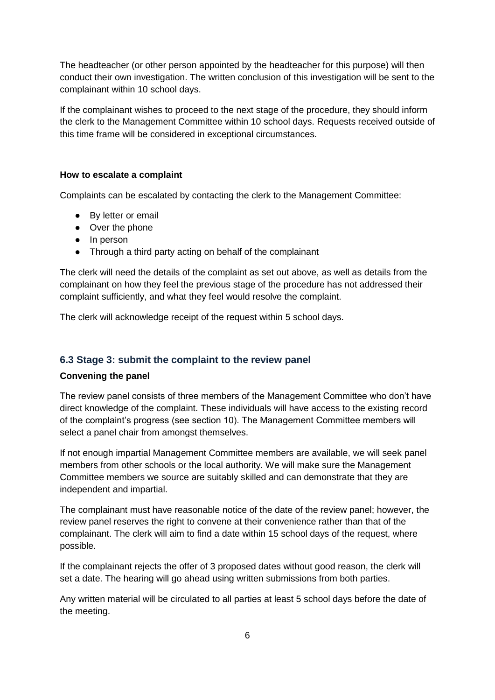The headteacher (or other person appointed by the headteacher for this purpose) will then conduct their own investigation. The written conclusion of this investigation will be sent to the complainant within 10 school days.

If the complainant wishes to proceed to the next stage of the procedure, they should inform the clerk to the Management Committee within 10 school days. Requests received outside of this time frame will be considered in exceptional circumstances.

#### **How to escalate a complaint**

Complaints can be escalated by contacting the clerk to the Management Committee:

- By letter or email
- Over the phone
- In person
- Through a third party acting on behalf of the complainant

The clerk will need the details of the complaint as set out above, as well as details from the complainant on how they feel the previous stage of the procedure has not addressed their complaint sufficiently, and what they feel would resolve the complaint.

The clerk will acknowledge receipt of the request within 5 school days.

#### **6.3 Stage 3: submit the complaint to the review panel**

#### **Convening the panel**

The review panel consists of three members of the Management Committee who don't have direct knowledge of the complaint. These individuals will have access to the existing record of the complaint's progress (see section 10). The Management Committee members will select a panel chair from amongst themselves.

If not enough impartial Management Committee members are available, we will seek panel members from other schools or the local authority. We will make sure the Management Committee members we source are suitably skilled and can demonstrate that they are independent and impartial.

The complainant must have reasonable notice of the date of the review panel; however, the review panel reserves the right to convene at their convenience rather than that of the complainant. The clerk will aim to find a date within 15 school days of the request, where possible.

If the complainant rejects the offer of 3 proposed dates without good reason, the clerk will set a date. The hearing will go ahead using written submissions from both parties.

Any written material will be circulated to all parties at least 5 school days before the date of the meeting.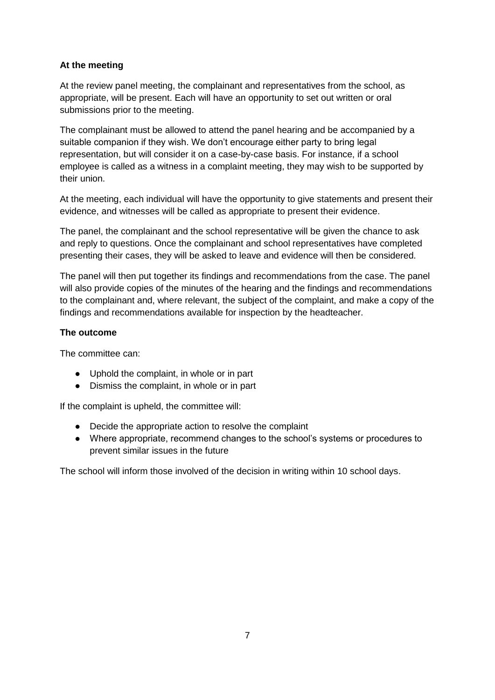#### **At the meeting**

At the review panel meeting, the complainant and representatives from the school, as appropriate, will be present. Each will have an opportunity to set out written or oral submissions prior to the meeting.

The complainant must be allowed to attend the panel hearing and be accompanied by a suitable companion if they wish. We don't encourage either party to bring legal representation, but will consider it on a case-by-case basis. For instance, if a school employee is called as a witness in a complaint meeting, they may wish to be supported by their union.

At the meeting, each individual will have the opportunity to give statements and present their evidence, and witnesses will be called as appropriate to present their evidence.

The panel, the complainant and the school representative will be given the chance to ask and reply to questions. Once the complainant and school representatives have completed presenting their cases, they will be asked to leave and evidence will then be considered.

The panel will then put together its findings and recommendations from the case. The panel will also provide copies of the minutes of the hearing and the findings and recommendations to the complainant and, where relevant, the subject of the complaint, and make a copy of the findings and recommendations available for inspection by the headteacher.

#### **The outcome**

The committee can:

- Uphold the complaint, in whole or in part
- Dismiss the complaint, in whole or in part

If the complaint is upheld, the committee will:

- Decide the appropriate action to resolve the complaint
- Where appropriate, recommend changes to the school's systems or procedures to prevent similar issues in the future

<span id="page-7-0"></span>The school will inform those involved of the decision in writing within 10 school days.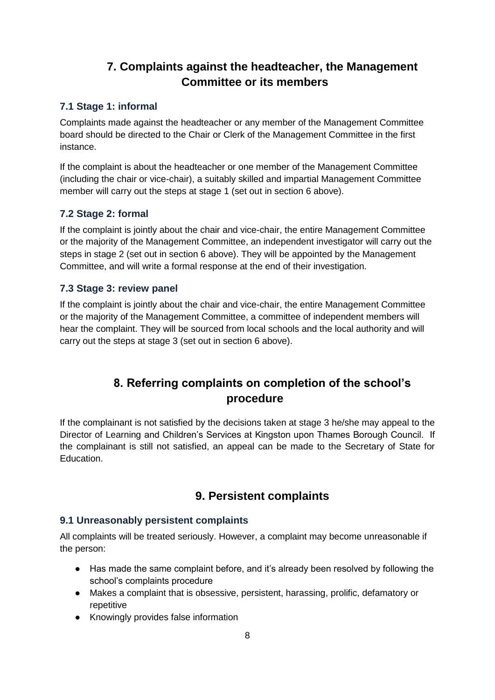## **7. Complaints against the headteacher, the Management Committee or its members**

#### **7.1 Stage 1: informal**

Complaints made against the headteacher or any member of the Management Committee board should be directed to the Chair or Clerk of the Management Committee in the first instance.

If the complaint is about the headteacher or one member of the Management Committee (including the chair or vice-chair), a suitably skilled and impartial Management Committee member will carry out the steps at stage 1 (set out in section 6 above).

#### **7.2 Stage 2: formal**

If the complaint is jointly about the chair and vice-chair, the entire Management Committee or the majority of the Management Committee, an independent investigator will carry out the steps in stage 2 (set out in section 6 above). They will be appointed by the Management Committee, and will write a formal response at the end of their investigation.

#### **7.3 Stage 3: review panel**

If the complaint is jointly about the chair and vice-chair, the entire Management Committee or the majority of the Management Committee, a committee of independent members will hear the complaint. They will be sourced from local schools and the local authority and will carry out the steps at stage 3 (set out in section 6 above).

## **8. Referring complaints on completion of the school's procedure**

<span id="page-8-1"></span><span id="page-8-0"></span>If the complainant is not satisfied by the decisions taken at stage 3 he/she may appeal to the Director of Learning and Children's Services at Kingston upon Thames Borough Council. If the complainant is still not satisfied, an appeal can be made to the Secretary of State for Education.

### **9. Persistent complaints**

#### **9.1 Unreasonably persistent complaints**

All complaints will be treated seriously. However, a complaint may become unreasonable if the person:

- Has made the same complaint before, and it's already been resolved by following the school's complaints procedure
- Makes a complaint that is obsessive, persistent, harassing, prolific, defamatory or repetitive
- Knowingly provides false information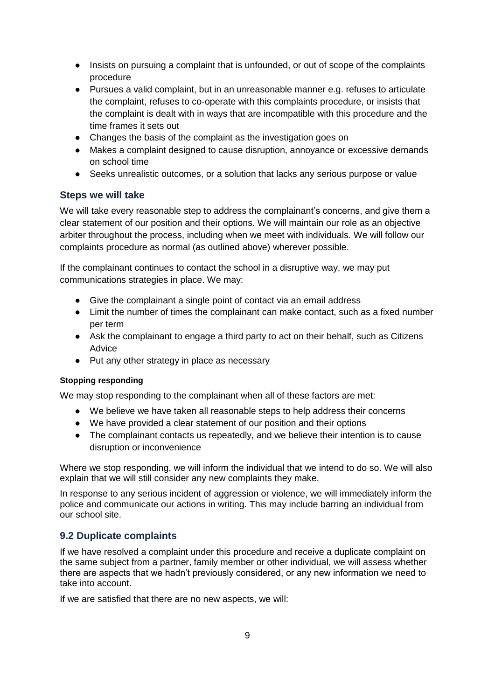- Insists on pursuing a complaint that is unfounded, or out of scope of the complaints procedure
- Pursues a valid complaint, but in an unreasonable manner e.g. refuses to articulate the complaint, refuses to co-operate with this complaints procedure, or insists that the complaint is dealt with in ways that are incompatible with this procedure and the time frames it sets out
- Changes the basis of the complaint as the investigation goes on
- Makes a complaint designed to cause disruption, annoyance or excessive demands on school time
- Seeks unrealistic outcomes, or a solution that lacks any serious purpose or value

#### **Steps we will take**

We will take every reasonable step to address the complainant's concerns, and give them a clear statement of our position and their options. We will maintain our role as an objective arbiter throughout the process, including when we meet with individuals. We will follow our complaints procedure as normal (as outlined above) wherever possible.

If the complainant continues to contact the school in a disruptive way, we may put communications strategies in place. We may:

- Give the complainant a single point of contact via an email address
- Limit the number of times the complainant can make contact, such as a fixed number per term
- Ask the complainant to engage a third party to act on their behalf, such as [Citizens](https://www.citizensadvice.org.uk/)  [Advice](https://www.citizensadvice.org.uk/)
- Put any other strategy in place as necessary

#### **Stopping responding**

We may stop responding to the complainant when all of these factors are met:

- We believe we have taken all reasonable steps to help address their concerns
- We have provided a clear statement of our position and their options
- The complainant contacts us repeatedly, and we believe their intention is to cause disruption or inconvenience

Where we stop responding, we will inform the individual that we intend to do so. We will also explain that we will still consider any new complaints they make.

In response to any serious incident of aggression or violence, we will immediately inform the police and communicate our actions in writing. This may include barring an individual from our school site.

#### **9.2 Duplicate complaints**

If we have resolved a complaint under this procedure and receive a duplicate complaint on the same subject from a partner, family member or other individual, we will assess whether there are aspects that we hadn't previously considered, or any new information we need to take into account.

If we are satisfied that there are no new aspects, we will: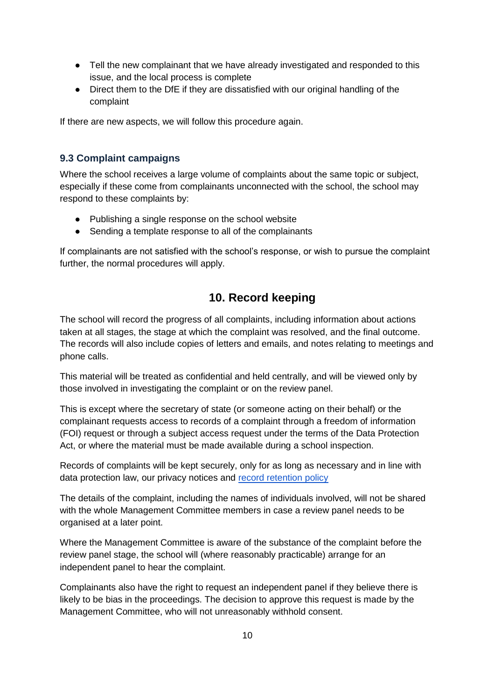- Tell the new complainant that we have already investigated and responded to this issue, and the local process is complete
- Direct them to the DfE if they are dissatisfied with our original handling of the complaint

If there are new aspects, we will follow this procedure again.

#### **9.3 Complaint campaigns**

Where the school receives a large volume of complaints about the same topic or subject, especially if these come from complainants unconnected with the school, the school may respond to these complaints by:

- Publishing a single response on the school website
- Sending a template response to all of the complainants

If complainants are not satisfied with the school's response, or wish to pursue the complaint further, the normal procedures will apply.

## **10. Record keeping**

<span id="page-10-0"></span>The school will record the progress of all complaints, including information about actions taken at all stages, the stage at which the complaint was resolved, and the final outcome. The records will also include copies of letters and emails, and notes relating to meetings and phone calls.

This material will be treated as confidential and held centrally, and will be viewed only by those involved in investigating the complaint or on the review panel.

This is except where the secretary of state (or someone acting on their behalf) or the complainant requests access to records of a complaint through a freedom of information (FOI) request or through a subject access request under the terms of the Data Protection Act, or where the material must be made available during a school inspection.

Records of complaints will be kept securely, only for as long as necessary and in line with data protection law, our privacy notices and [record retention policy](https://docs.google.com/document/d/1I9iKyklolEx-6L9BW-uixg6RYUK51bJv?rtpof=true&authuser=stmatt%40maldenoaks.rbksch.org&usp=drive_fs)

The details of the complaint, including the names of individuals involved, will not be shared with the whole Management Committee members in case a review panel needs to be organised at a later point.

Where the Management Committee is aware of the substance of the complaint before the review panel stage, the school will (where reasonably practicable) arrange for an independent panel to hear the complaint.

Complainants also have the right to request an independent panel if they believe there is likely to be bias in the proceedings. The decision to approve this request is made by the Management Committee, who will not unreasonably withhold consent.